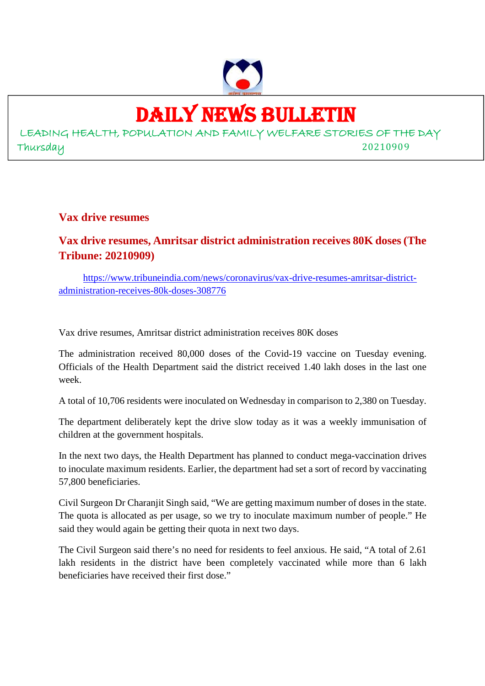

## DAILY NEWS BULLETIN

LEADING HEALTH, POPULATION AND FAMILY WELFARE STORIES OF THE DAY Thursday 20210909

**Vax drive resumes**

#### **Vax drive resumes, Amritsar district administration receives 80K doses (The Tribune: 20210909)**

https://www.tribuneindia.com/news/coronavirus/vax-drive-resumes-amritsar-districtadministration-receives-80k-doses-308776

Vax drive resumes, Amritsar district administration receives 80K doses

The administration received 80,000 doses of the Covid-19 vaccine on Tuesday evening. Officials of the Health Department said the district received 1.40 lakh doses in the last one week.

A total of 10,706 residents were inoculated on Wednesday in comparison to 2,380 on Tuesday.

The department deliberately kept the drive slow today as it was a weekly immunisation of children at the government hospitals.

In the next two days, the Health Department has planned to conduct mega-vaccination drives to inoculate maximum residents. Earlier, the department had set a sort of record by vaccinating 57,800 beneficiaries.

Civil Surgeon Dr Charanjit Singh said, "We are getting maximum number of doses in the state. The quota is allocated as per usage, so we try to inoculate maximum number of people." He said they would again be getting their quota in next two days.

The Civil Surgeon said there's no need for residents to feel anxious. He said, "A total of 2.61 lakh residents in the district have been completely vaccinated while more than 6 lakh beneficiaries have received their first dose."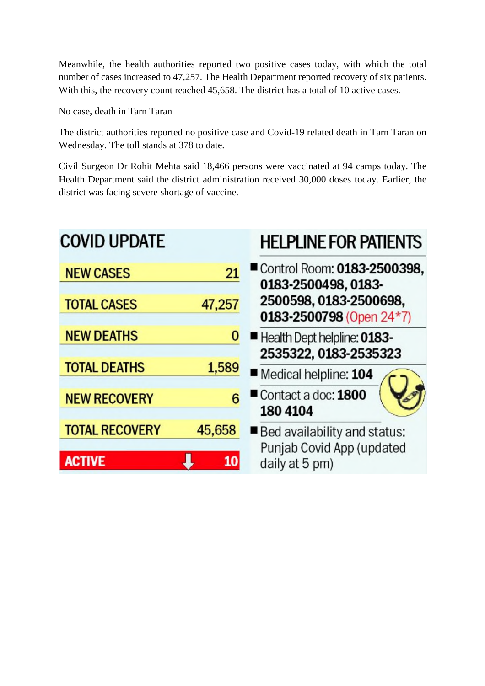Meanwhile, the health authorities reported two positive cases today, with which the total number of cases increased to 47,257. The Health Department reported recovery of six patients. With this, the recovery count reached 45,658. The district has a total of 10 active cases.

No case, death in Tarn Taran

The district authorities reported no positive case and Covid-19 related death in Tarn Taran on Wednesday. The toll stands at 378 to date.

Civil Surgeon Dr Rohit Mehta said 18,466 persons were vaccinated at 94 camps today. The Health Department said the district administration received 30,000 doses today. Earlier, the district was facing severe shortage of vaccine.

### **COVID UPDATE**

### **HELPLINE FOR PATIENTS**

| <b>NEW CASES</b>      | 21     | ■ Control Room: 0183-2500398,<br>0183-2500498, 0183-  |
|-----------------------|--------|-------------------------------------------------------|
| <b>TOTAL CASES</b>    | 47,257 | 2500598, 0183-2500698,<br>0183-2500798 (Open $24*7$ ) |
| <b>NEW DEATHS</b>     | 0      | Health Dept helpline: 0183-<br>2535322, 0183-2535323  |
| <b>TOTAL DEATHS</b>   | 1,589  | Medical helpline: 104                                 |
| <b>NEW RECOVERY</b>   | 6      | Contact a doc: 1800<br>180 4104                       |
| <b>TOTAL RECOVERY</b> | 45,658 | Bed availability and status:                          |
| <b>ACTIVE</b>         | 10     | Punjab Covid App (updated<br>daily at 5 pm)           |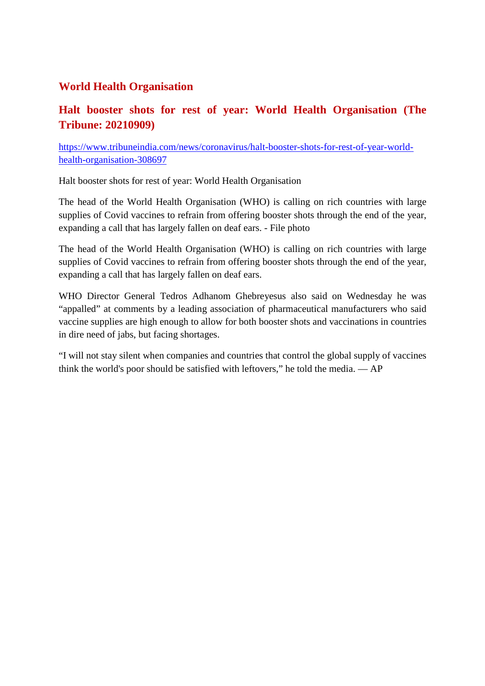#### **World Health Organisation**

#### **Halt booster shots for rest of year: World Health Organisation (The Tribune: 20210909)**

https://www.tribuneindia.com/news/coronavirus/halt-booster-shots-for-rest-of-year-worldhealth-organisation-308697

Halt booster shots for rest of year: World Health Organisation

The head of the World Health Organisation (WHO) is calling on rich countries with large supplies of Covid vaccines to refrain from offering booster shots through the end of the year, expanding a call that has largely fallen on deaf ears. - File photo

The head of the World Health Organisation (WHO) is calling on rich countries with large supplies of Covid vaccines to refrain from offering booster shots through the end of the year, expanding a call that has largely fallen on deaf ears.

WHO Director General Tedros Adhanom Ghebreyesus also said on Wednesday he was "appalled" at comments by a leading association of pharmaceutical manufacturers who said vaccine supplies are high enough to allow for both booster shots and vaccinations in countries in dire need of jabs, but facing shortages.

"I will not stay silent when companies and countries that control the global supply of vaccines think the world's poor should be satisfied with leftovers," he told the media. — AP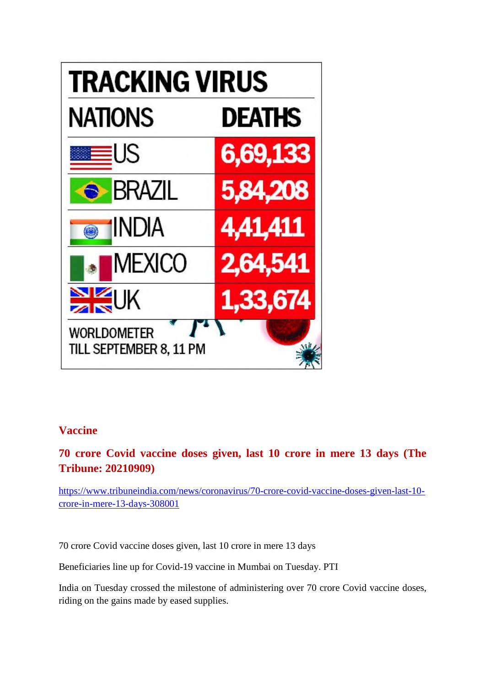

#### **Vaccine**

#### **70 crore Covid vaccine doses given, last 10 crore in mere 13 days (The Tribune: 20210909)**

https://www.tribuneindia.com/news/coronavirus/70-crore-covid-vaccine-doses-given-last-10 crore-in-mere-13-days-308001

70 crore Covid vaccine doses given, last 10 crore in mere 13 days

Beneficiaries line up for Covid-19 vaccine in Mumbai on Tuesday. PTI

India on Tuesday crossed the milestone of administering over 70 crore Covid vaccine doses, riding on the gains made by eased supplies.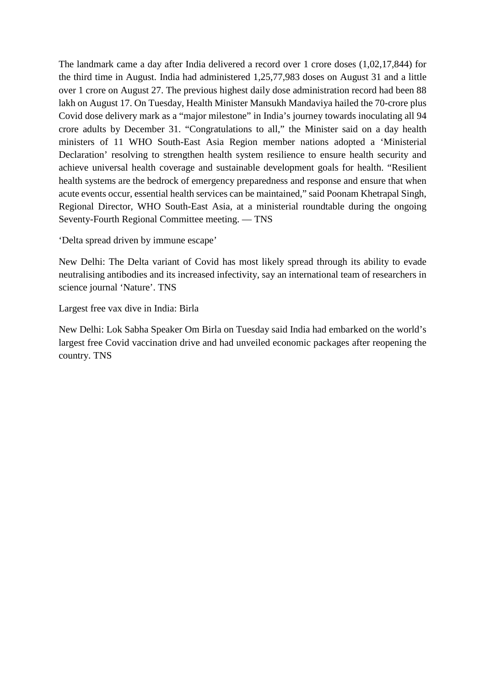The landmark came a day after India delivered a record over 1 crore doses (1,02,17,844) for the third time in August. India had administered 1,25,77,983 doses on August 31 and a little over 1 crore on August 27. The previous highest daily dose administration record had been 88 lakh on August 17. On Tuesday, Health Minister Mansukh Mandaviya hailed the 70-crore plus Covid dose delivery mark as a "major milestone" in India's journey towards inoculating all 94 crore adults by December 31. "Congratulations to all," the Minister said on a day health ministers of 11 WHO South-East Asia Region member nations adopted a 'Ministerial Declaration' resolving to strengthen health system resilience to ensure health security and achieve universal health coverage and sustainable development goals for health. "Resilient health systems are the bedrock of emergency preparedness and response and ensure that when acute events occur, essential health services can be maintained," said Poonam Khetrapal Singh, Regional Director, WHO South-East Asia, at a ministerial roundtable during the ongoing Seventy-Fourth Regional Committee meeting. — TNS

'Delta spread driven by immune escape'

New Delhi: The Delta variant of Covid has most likely spread through its ability to evade neutralising antibodies and its increased infectivity, say an international team of researchers in science journal 'Nature'. TNS

Largest free vax dive in India: Birla

New Delhi: Lok Sabha Speaker Om Birla on Tuesday said India had embarked on the world's largest free Covid vaccination drive and had unveiled economic packages after reopening the country. TNS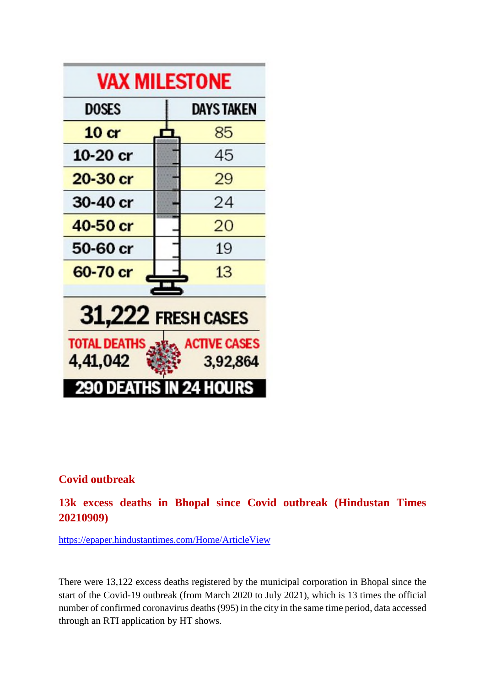

#### **Covid outbreak**

**13k excess deaths in Bhopal since Covid outbreak (Hindustan Times 20210909)**

https://epaper.hindustantimes.com/Home/ArticleView

There were 13,122 excess deaths registered by the municipal corporation in Bhopal since the start of the Covid-19 outbreak (from March 2020 to July 2021), which is 13 times the official number of confirmed coronavirus deaths (995) in the city in the same time period, data accessed through an RTI application by HT shows.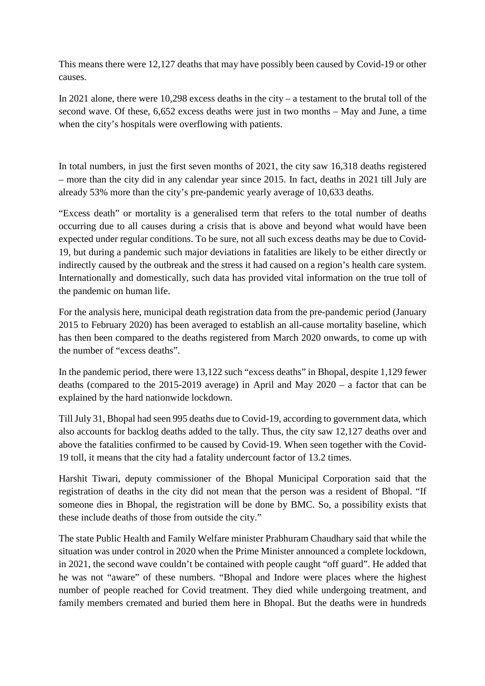This means there were 12,127 deaths that may have possibly been caused by Covid-19 or other causes.

In 2021 alone, there were  $10,298$  excess deaths in the city – a testament to the brutal toll of the second wave. Of these, 6,652 excess deaths were just in two months – May and June, a time when the city's hospitals were overflowing with patients.

In total numbers, in just the first seven months of 2021, the city saw 16,318 deaths registered – more than the city did in any calendar year since 2015. In fact, deaths in 2021 till July are already 53% more than the city's pre-pandemic yearly average of 10,633 deaths.

"Excess death" or mortality is a generalised term that refers to the total number of deaths occurring due to all causes during a crisis that is above and beyond what would have been expected under regular conditions. To be sure, not all such excess deaths may be due to Covid-19, but during a pandemic such major deviations in fatalities are likely to be either directly or indirectly caused by the outbreak and the stress it had caused on a region's health care system. Internationally and domestically, such data has provided vital information on the true toll of the pandemic on human life.

For the analysis here, municipal death registration data from the pre-pandemic period (January 2015 to February 2020) has been averaged to establish an all-cause mortality baseline, which has then been compared to the deaths registered from March 2020 onwards, to come up with the number of "excess deaths".

In the pandemic period, there were 13,122 such "excess deaths" in Bhopal, despite 1,129 fewer deaths (compared to the 2015-2019 average) in April and May 2020 – a factor that can be explained by the hard nationwide lockdown.

Till July 31, Bhopal had seen 995 deaths due to Covid-19, according to government data, which also accounts for backlog deaths added to the tally. Thus, the city saw 12,127 deaths over and above the fatalities confirmed to be caused by Covid-19. When seen together with the Covid-19 toll, it means that the city had a fatality undercount factor of 13.2 times.

Harshit Tiwari, deputy commissioner of the Bhopal Municipal Corporation said that the registration of deaths in the city did not mean that the person was a resident of Bhopal. "If someone dies in Bhopal, the registration will be done by BMC. So, a possibility exists that these include deaths of those from outside the city."

The state Public Health and Family Welfare minister Prabhuram Chaudhary said that while the situation was under control in 2020 when the Prime Minister announced a complete lockdown, in 2021, the second wave couldn't be contained with people caught "off guard". He added that he was not "aware" of these numbers. "Bhopal and Indore were places where the highest number of people reached for Covid treatment. They died while undergoing treatment, and family members cremated and buried them here in Bhopal. But the deaths were in hundreds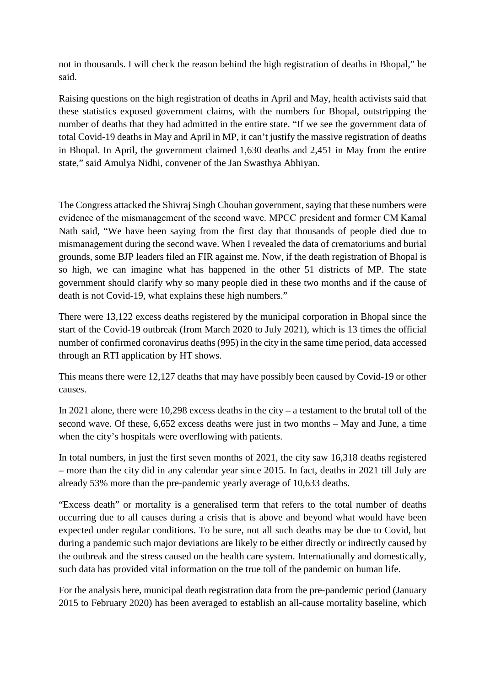not in thousands. I will check the reason behind the high registration of deaths in Bhopal," he said.

Raising questions on the high registration of deaths in April and May, health activists said that these statistics exposed government claims, with the numbers for Bhopal, outstripping the number of deaths that they had admitted in the entire state. "If we see the government data of total Covid-19 deaths in May and April in MP, it can't justify the massive registration of deaths in Bhopal. In April, the government claimed 1,630 deaths and 2,451 in May from the entire state," said Amulya Nidhi, convener of the Jan Swasthya Abhiyan.

The Congress attacked the Shivraj Singh Chouhan government, saying that these numbers were evidence of the mismanagement of the second wave. MPCC president and former CM Kamal Nath said, "We have been saying from the first day that thousands of people died due to mismanagement during the second wave. When I revealed the data of crematoriums and burial grounds, some BJP leaders filed an FIR against me. Now, if the death registration of Bhopal is so high, we can imagine what has happened in the other 51 districts of MP. The state government should clarify why so many people died in these two months and if the cause of death is not Covid-19, what explains these high numbers."

There were 13,122 excess deaths registered by the municipal corporation in Bhopal since the start of the Covid-19 outbreak (from March 2020 to July 2021), which is 13 times the official number of confirmed coronavirus deaths (995) in the city in the same time period, data accessed through an RTI application by HT shows.

This means there were 12,127 deaths that may have possibly been caused by Covid-19 or other causes.

In 2021 alone, there were 10,298 excess deaths in the city – a testament to the brutal toll of the second wave. Of these, 6,652 excess deaths were just in two months – May and June, a time when the city's hospitals were overflowing with patients.

In total numbers, in just the first seven months of 2021, the city saw 16,318 deaths registered – more than the city did in any calendar year since 2015. In fact, deaths in 2021 till July are already 53% more than the pre-pandemic yearly average of 10,633 deaths.

"Excess death" or mortality is a generalised term that refers to the total number of deaths occurring due to all causes during a crisis that is above and beyond what would have been expected under regular conditions. To be sure, not all such deaths may be due to Covid, but during a pandemic such major deviations are likely to be either directly or indirectly caused by the outbreak and the stress caused on the health care system. Internationally and domestically, such data has provided vital information on the true toll of the pandemic on human life.

For the analysis here, municipal death registration data from the pre-pandemic period (January 2015 to February 2020) has been averaged to establish an all-cause mortality baseline, which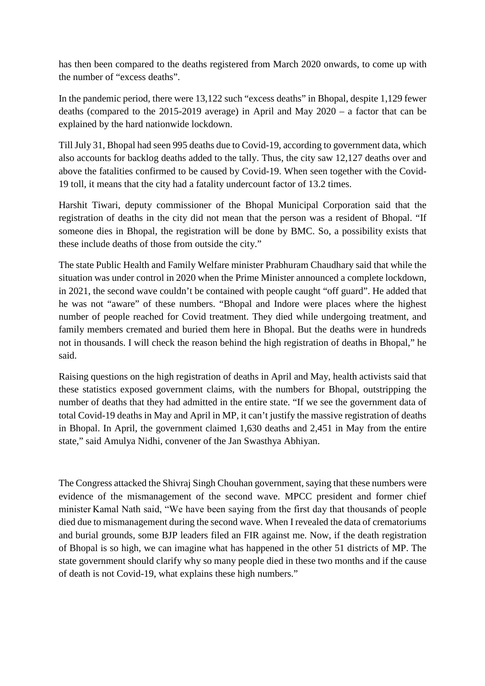has then been compared to the deaths registered from March 2020 onwards, to come up with the number of "excess deaths".

In the pandemic period, there were 13,122 such "excess deaths" in Bhopal, despite 1,129 fewer deaths (compared to the 2015-2019 average) in April and May 2020 – a factor that can be explained by the hard nationwide lockdown.

Till July 31, Bhopal had seen 995 deaths due to Covid-19, according to government data, which also accounts for backlog deaths added to the tally. Thus, the city saw 12,127 deaths over and above the fatalities confirmed to be caused by Covid-19. When seen together with the Covid-19 toll, it means that the city had a fatality undercount factor of 13.2 times.

Harshit Tiwari, deputy commissioner of the Bhopal Municipal Corporation said that the registration of deaths in the city did not mean that the person was a resident of Bhopal. "If someone dies in Bhopal, the registration will be done by BMC. So, a possibility exists that these include deaths of those from outside the city."

The state Public Health and Family Welfare minister Prabhuram Chaudhary said that while the situation was under control in 2020 when the Prime Minister announced a complete lockdown, in 2021, the second wave couldn't be contained with people caught "off guard". He added that he was not "aware" of these numbers. "Bhopal and Indore were places where the highest number of people reached for Covid treatment. They died while undergoing treatment, and family members cremated and buried them here in Bhopal. But the deaths were in hundreds not in thousands. I will check the reason behind the high registration of deaths in Bhopal," he said.

Raising questions on the high registration of deaths in April and May, health activists said that these statistics exposed government claims, with the numbers for Bhopal, outstripping the number of deaths that they had admitted in the entire state. "If we see the government data of total Covid-19 deaths in May and April in MP, it can't justify the massive registration of deaths in Bhopal. In April, the government claimed 1,630 deaths and 2,451 in May from the entire state," said Amulya Nidhi, convener of the Jan Swasthya Abhiyan.

The Congress attacked the Shivraj Singh Chouhan government, saying that these numbers were evidence of the mismanagement of the second wave. MPCC president and former chief minister Kamal Nath said, "We have been saying from the first day that thousands of people died due to mismanagement during the second wave. When I revealed the data of crematoriums and burial grounds, some BJP leaders filed an FIR against me. Now, if the death registration of Bhopal is so high, we can imagine what has happened in the other 51 districts of MP. The state government should clarify why so many people died in these two months and if the cause of death is not Covid-19, what explains these high numbers."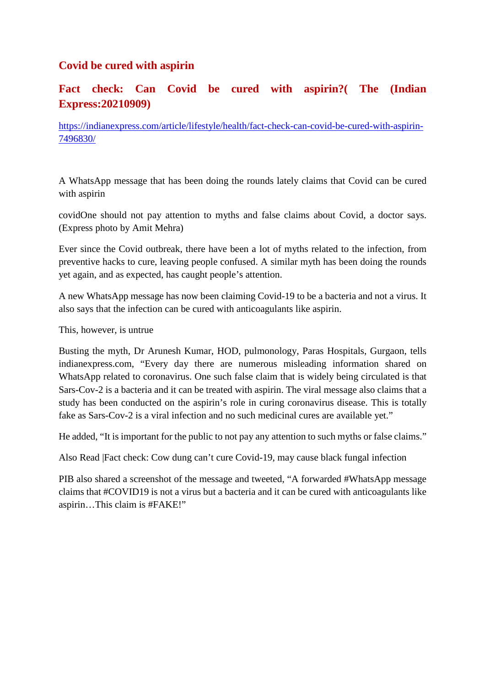#### **Covid be cured with aspirin**

#### **Fact check: Can Covid be cured with aspirin?( The (Indian Express:20210909)**

https://indianexpress.com/article/lifestyle/health/fact-check-can-covid-be-cured-with-aspirin-7496830/

A WhatsApp message that has been doing the rounds lately claims that Covid can be cured with aspirin

covidOne should not pay attention to myths and false claims about Covid, a doctor says. (Express photo by Amit Mehra)

Ever since the Covid outbreak, there have been a lot of myths related to the infection, from preventive hacks to cure, leaving people confused. A similar myth has been doing the rounds yet again, and as expected, has caught people's attention.

A new WhatsApp message has now been claiming Covid-19 to be a bacteria and not a virus. It also says that the infection can be cured with anticoagulants like aspirin.

This, however, is untrue

Busting the myth, Dr Arunesh Kumar, HOD, pulmonology, Paras Hospitals, Gurgaon, tells indianexpress.com, "Every day there are numerous misleading information shared on WhatsApp related to coronavirus. One such false claim that is widely being circulated is that Sars-Cov-2 is a bacteria and it can be treated with aspirin. The viral message also claims that a study has been conducted on the aspirin's role in curing coronavirus disease. This is totally fake as Sars-Cov-2 is a viral infection and no such medicinal cures are available yet."

He added, "It is important for the public to not pay any attention to such myths or false claims."

Also Read |Fact check: Cow dung can't cure Covid-19, may cause black fungal infection

PIB also shared a screenshot of the message and tweeted, "A forwarded #WhatsApp message claims that #COVID19 is not a virus but a bacteria and it can be cured with anticoagulants like aspirin…This claim is #FAKE!"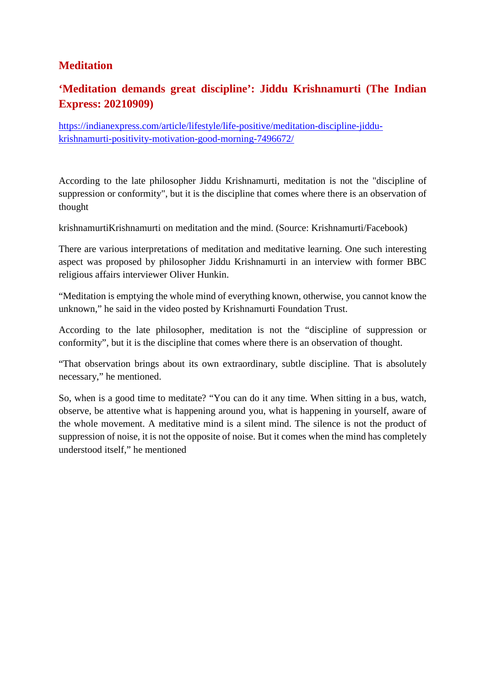#### **Meditation**

#### **'Meditation demands great discipline': Jiddu Krishnamurti (The Indian Express: 20210909)**

https://indianexpress.com/article/lifestyle/life-positive/meditation-discipline-jiddukrishnamurti-positivity-motivation-good-morning-7496672/

According to the late philosopher Jiddu Krishnamurti, meditation is not the "discipline of suppression or conformity", but it is the discipline that comes where there is an observation of thought

krishnamurtiKrishnamurti on meditation and the mind. (Source: Krishnamurti/Facebook)

There are various interpretations of meditation and meditative learning. One such interesting aspect was proposed by philosopher Jiddu Krishnamurti in an interview with former BBC religious affairs interviewer Oliver Hunkin.

"Meditation is emptying the whole mind of everything known, otherwise, you cannot know the unknown," he said in the video posted by Krishnamurti Foundation Trust.

According to the late philosopher, meditation is not the "discipline of suppression or conformity", but it is the discipline that comes where there is an observation of thought.

"That observation brings about its own extraordinary, subtle discipline. That is absolutely necessary," he mentioned.

So, when is a good time to meditate? "You can do it any time. When sitting in a bus, watch, observe, be attentive what is happening around you, what is happening in yourself, aware of the whole movement. A meditative mind is a silent mind. The silence is not the product of suppression of noise, it is not the opposite of noise. But it comes when the mind has completely understood itself," he mentioned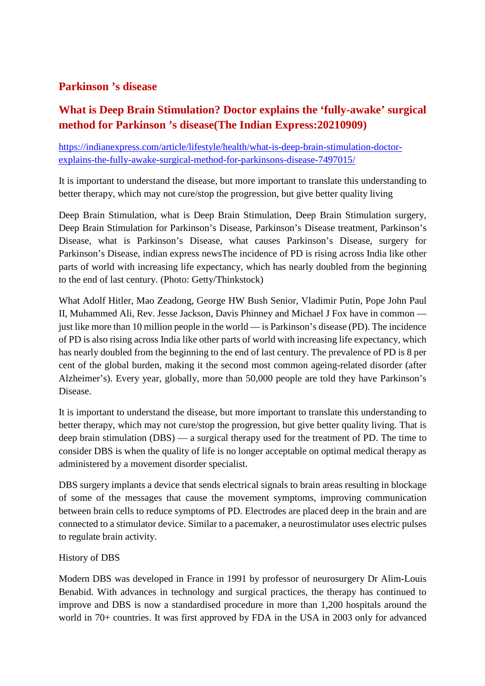#### **Parkinson 's disease**

#### **What is Deep Brain Stimulation? Doctor explains the 'fully-awake' surgical method for Parkinson 's disease(The Indian Express:20210909)**

https://indianexpress.com/article/lifestyle/health/what-is-deep-brain-stimulation-doctorexplains-the-fully-awake-surgical-method-for-parkinsons-disease-7497015/

It is important to understand the disease, but more important to translate this understanding to better therapy, which may not cure/stop the progression, but give better quality living

Deep Brain Stimulation, what is Deep Brain Stimulation, Deep Brain Stimulation surgery, Deep Brain Stimulation for Parkinson's Disease, Parkinson's Disease treatment, Parkinson's Disease, what is Parkinson's Disease, what causes Parkinson's Disease, surgery for Parkinson's Disease, indian express newsThe incidence of PD is rising across India like other parts of world with increasing life expectancy, which has nearly doubled from the beginning to the end of last century. (Photo: Getty/Thinkstock)

What Adolf Hitler, Mao Zeadong, George HW Bush Senior, Vladimir Putin, Pope John Paul II, Muhammed Ali, Rev. Jesse Jackson, Davis Phinney and Michael J Fox have in common just like more than 10 million people in the world — is Parkinson's disease (PD). The incidence of PD is also rising across India like other parts of world with increasing life expectancy, which has nearly doubled from the beginning to the end of last century. The prevalence of PD is 8 per cent of the global burden, making it the second most common ageing-related disorder (after Alzheimer's). Every year, globally, more than 50,000 people are told they have Parkinson's Disease.

It is important to understand the disease, but more important to translate this understanding to better therapy, which may not cure/stop the progression, but give better quality living. That is deep brain stimulation (DBS) — a surgical therapy used for the treatment of PD. The time to consider DBS is when the quality of life is no longer acceptable on optimal medical therapy as administered by a movement disorder specialist.

DBS surgery implants a device that sends electrical signals to brain areas resulting in blockage of some of the messages that cause the movement symptoms, improving communication between brain cells to reduce symptoms of PD. Electrodes are placed deep in the brain and are connected to a stimulator device. Similar to a pacemaker, a neurostimulator uses electric pulses to regulate brain activity.

#### History of DBS

Modern DBS was developed in France in 1991 by professor of neurosurgery Dr Alim-Louis Benabid. With advances in technology and surgical practices, the therapy has continued to improve and DBS is now a standardised procedure in more than 1,200 hospitals around the world in 70+ countries. It was first approved by FDA in the USA in 2003 only for advanced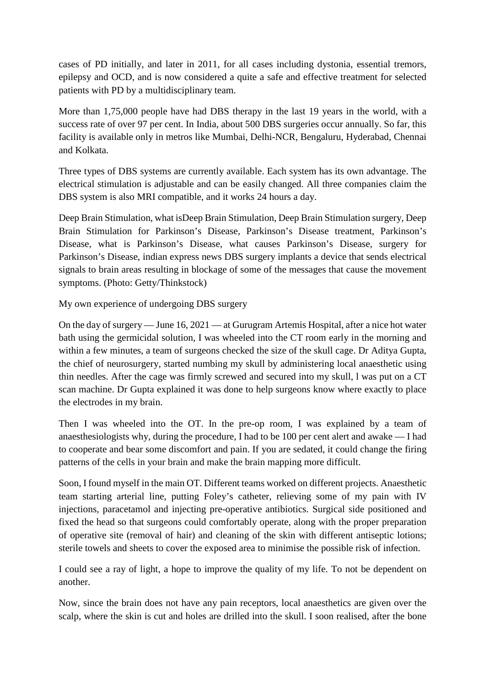cases of PD initially, and later in 2011, for all cases including dystonia, essential tremors, epilepsy and OCD, and is now considered a quite a safe and effective treatment for selected patients with PD by a multidisciplinary team.

More than 1,75,000 people have had DBS therapy in the last 19 years in the world, with a success rate of over 97 per cent. In India, about 500 DBS surgeries occur annually. So far, this facility is available only in metros like Mumbai, Delhi-NCR, Bengaluru, Hyderabad, Chennai and Kolkata.

Three types of DBS systems are currently available. Each system has its own advantage. The electrical stimulation is adjustable and can be easily changed. All three companies claim the DBS system is also MRI compatible, and it works 24 hours a day.

Deep Brain Stimulation, what isDeep Brain Stimulation, Deep Brain Stimulation surgery, Deep Brain Stimulation for Parkinson's Disease, Parkinson's Disease treatment, Parkinson's Disease, what is Parkinson's Disease, what causes Parkinson's Disease, surgery for Parkinson's Disease, indian express news DBS surgery implants a device that sends electrical signals to brain areas resulting in blockage of some of the messages that cause the movement symptoms. (Photo: Getty/Thinkstock)

My own experience of undergoing DBS surgery

On the day of surgery — June 16, 2021 — at Gurugram Artemis Hospital, after a nice hot water bath using the germicidal solution, I was wheeled into the CT room early in the morning and within a few minutes, a team of surgeons checked the size of the skull cage. Dr Aditya Gupta, the chief of neurosurgery, started numbing my skull by administering local anaesthetic using thin needles. After the cage was firmly screwed and secured into my skull, l was put on a CT scan machine. Dr Gupta explained it was done to help surgeons know where exactly to place the electrodes in my brain.

Then I was wheeled into the OT. In the pre-op room, I was explained by a team of anaesthesiologists why, during the procedure, I had to be 100 per cent alert and awake — I had to cooperate and bear some discomfort and pain. If you are sedated, it could change the firing patterns of the cells in your brain and make the brain mapping more difficult.

Soon, I found myself in the main OT. Different teams worked on different projects. Anaesthetic team starting arterial line, putting Foley's catheter, relieving some of my pain with IV injections, paracetamol and injecting pre-operative antibiotics. Surgical side positioned and fixed the head so that surgeons could comfortably operate, along with the proper preparation of operative site (removal of hair) and cleaning of the skin with different antiseptic lotions; sterile towels and sheets to cover the exposed area to minimise the possible risk of infection.

I could see a ray of light, a hope to improve the quality of my life. To not be dependent on another.

Now, since the brain does not have any pain receptors, local anaesthetics are given over the scalp, where the skin is cut and holes are drilled into the skull. I soon realised, after the bone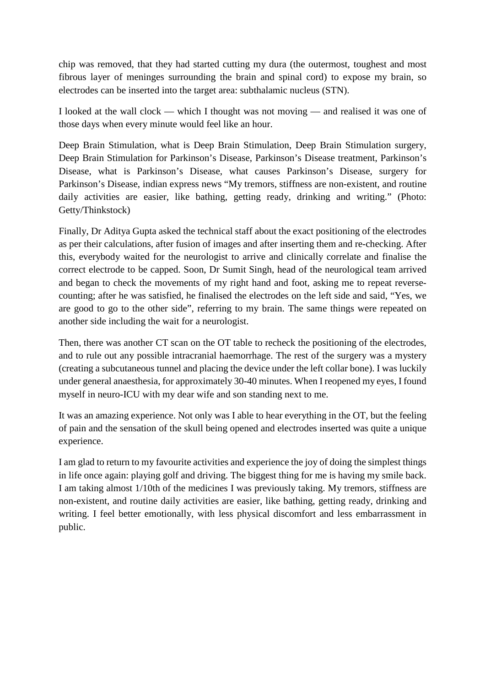chip was removed, that they had started cutting my dura (the outermost, toughest and most fibrous layer of meninges surrounding the brain and spinal cord) to expose my brain, so electrodes can be inserted into the target area: subthalamic nucleus (STN).

I looked at the wall clock — which I thought was not moving — and realised it was one of those days when every minute would feel like an hour.

Deep Brain Stimulation, what is Deep Brain Stimulation, Deep Brain Stimulation surgery, Deep Brain Stimulation for Parkinson's Disease, Parkinson's Disease treatment, Parkinson's Disease, what is Parkinson's Disease, what causes Parkinson's Disease, surgery for Parkinson's Disease, indian express news "My tremors, stiffness are non-existent, and routine daily activities are easier, like bathing, getting ready, drinking and writing." (Photo: Getty/Thinkstock)

Finally, Dr Aditya Gupta asked the technical staff about the exact positioning of the electrodes as per their calculations, after fusion of images and after inserting them and re-checking. After this, everybody waited for the neurologist to arrive and clinically correlate and finalise the correct electrode to be capped. Soon, Dr Sumit Singh, head of the neurological team arrived and began to check the movements of my right hand and foot, asking me to repeat reversecounting; after he was satisfied, he finalised the electrodes on the left side and said, "Yes, we are good to go to the other side", referring to my brain. The same things were repeated on another side including the wait for a neurologist.

Then, there was another CT scan on the OT table to recheck the positioning of the electrodes, and to rule out any possible intracranial haemorrhage. The rest of the surgery was a mystery (creating a subcutaneous tunnel and placing the device under the left collar bone). I was luckily under general anaesthesia, for approximately 30-40 minutes. When I reopened my eyes, I found myself in neuro-ICU with my dear wife and son standing next to me.

It was an amazing experience. Not only was I able to hear everything in the OT, but the feeling of pain and the sensation of the skull being opened and electrodes inserted was quite a unique experience.

I am glad to return to my favourite activities and experience the joy of doing the simplest things in life once again: playing golf and driving. The biggest thing for me is having my smile back. I am taking almost 1/10th of the medicines I was previously taking. My tremors, stiffness are non-existent, and routine daily activities are easier, like bathing, getting ready, drinking and writing. I feel better emotionally, with less physical discomfort and less embarrassment in public.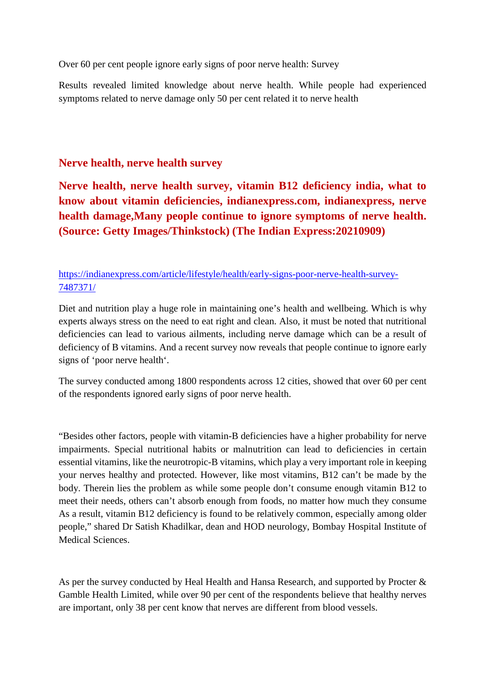Over 60 per cent people ignore early signs of poor nerve health: Survey

Results revealed limited knowledge about nerve health. While people had experienced symptoms related to nerve damage only 50 per cent related it to nerve health

#### **Nerve health, nerve health survey**

**Nerve health, nerve health survey, vitamin B12 deficiency india, what to know about vitamin deficiencies, indianexpress.com, indianexpress, nerve health damage,Many people continue to ignore symptoms of nerve health. (Source: Getty Images/Thinkstock) (The Indian Express:20210909)**

https://indianexpress.com/article/lifestyle/health/early-signs-poor-nerve-health-survey-7487371/

Diet and nutrition play a huge role in maintaining one's health and wellbeing. Which is why experts always stress on the need to eat right and clean. Also, it must be noted that nutritional deficiencies can lead to various ailments, including nerve damage which can be a result of deficiency of B vitamins. And a recent survey now reveals that people continue to ignore early signs of 'poor nerve health'.

The survey conducted among 1800 respondents across 12 cities, showed that over 60 per cent of the respondents ignored early signs of poor nerve health.

"Besides other factors, people with vitamin-B deficiencies have a higher probability for nerve impairments. Special nutritional habits or malnutrition can lead to deficiencies in certain essential vitamins, like the neurotropic-B vitamins, which play a very important role in keeping your nerves healthy and protected. However, like most vitamins, B12 can't be made by the body. Therein lies the problem as while some people don't consume enough vitamin B12 to meet their needs, others can't absorb enough from foods, no matter how much they consume As a result, vitamin B12 deficiency is found to be relatively common, especially among older people," shared Dr Satish Khadilkar, dean and HOD neurology, Bombay Hospital Institute of Medical Sciences.

As per the survey conducted by Heal Health and Hansa Research, and supported by Procter & Gamble Health Limited, while over 90 per cent of the respondents believe that healthy nerves are important, only 38 per cent know that nerves are different from blood vessels.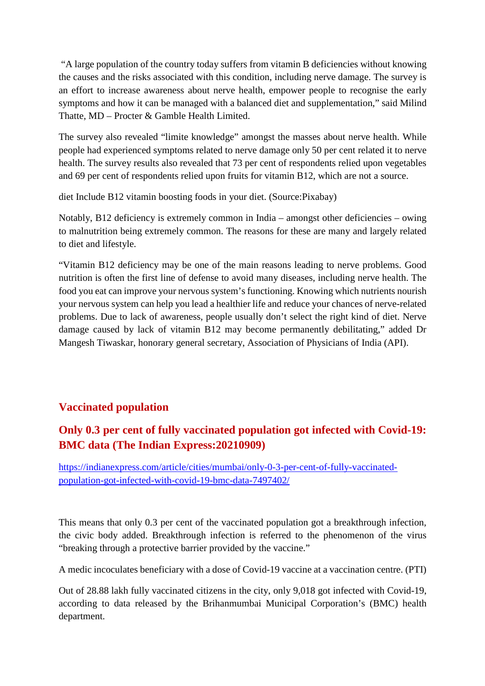"A large population of the country today suffers from vitamin B deficiencies without knowing the causes and the risks associated with this condition, including nerve damage. The survey is an effort to increase awareness about nerve health, empower people to recognise the early symptoms and how it can be managed with a balanced diet and supplementation," said Milind Thatte, MD – Procter & Gamble Health Limited.

The survey also revealed "limite knowledge" amongst the masses about nerve health. While people had experienced symptoms related to nerve damage only 50 per cent related it to nerve health. The survey results also revealed that 73 per cent of respondents relied upon vegetables and 69 per cent of respondents relied upon fruits for vitamin B12, which are not a source.

diet Include B12 vitamin boosting foods in your diet. (Source:Pixabay)

Notably, B12 deficiency is extremely common in India – amongst other deficiencies – owing to malnutrition being extremely common. The reasons for these are many and largely related to diet and lifestyle.

"Vitamin B12 deficiency may be one of the main reasons leading to nerve problems. Good nutrition is often the first line of defense to avoid many diseases, including nerve health. The food you eat can improve your nervous system's functioning. Knowing which nutrients nourish your nervous system can help you lead a healthier life and reduce your chances of nerve-related problems. Due to lack of awareness, people usually don't select the right kind of diet. Nerve damage caused by lack of vitamin B12 may become permanently debilitating," added Dr Mangesh Tiwaskar, honorary general secretary, Association of Physicians of India (API).

#### **Vaccinated population**

#### **Only 0.3 per cent of fully vaccinated population got infected with Covid-19: BMC data (The Indian Express:20210909)**

https://indianexpress.com/article/cities/mumbai/only-0-3-per-cent-of-fully-vaccinatedpopulation-got-infected-with-covid-19-bmc-data-7497402/

This means that only 0.3 per cent of the vaccinated population got a breakthrough infection, the civic body added. Breakthrough infection is referred to the phenomenon of the virus "breaking through a protective barrier provided by the vaccine."

A medic incoculates beneficiary with a dose of Covid-19 vaccine at a vaccination centre. (PTI)

Out of 28.88 lakh fully vaccinated citizens in the city, only 9,018 got infected with Covid-19, according to data released by the Brihanmumbai Municipal Corporation's (BMC) health department.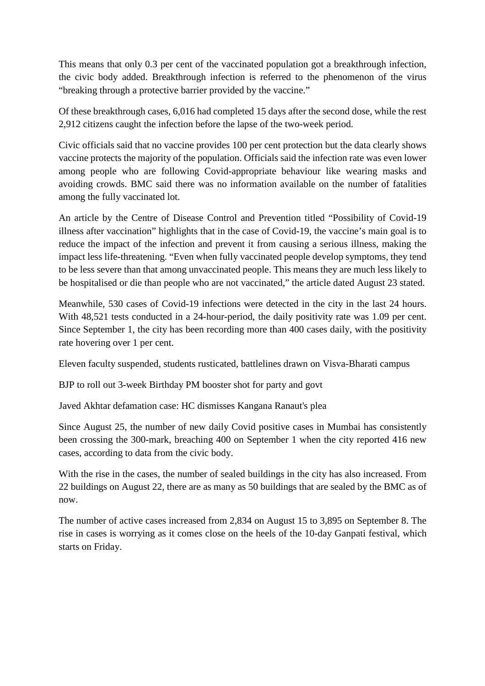This means that only 0.3 per cent of the vaccinated population got a breakthrough infection, the civic body added. Breakthrough infection is referred to the phenomenon of the virus "breaking through a protective barrier provided by the vaccine."

Of these breakthrough cases, 6,016 had completed 15 days after the second dose, while the rest 2,912 citizens caught the infection before the lapse of the two-week period.

Civic officials said that no vaccine provides 100 per cent protection but the data clearly shows vaccine protects the majority of the population. Officials said the infection rate was even lower among people who are following Covid-appropriate behaviour like wearing masks and avoiding crowds. BMC said there was no information available on the number of fatalities among the fully vaccinated lot.

An article by the Centre of Disease Control and Prevention titled "Possibility of Covid-19 illness after vaccination" highlights that in the case of Covid-19, the vaccine's main goal is to reduce the impact of the infection and prevent it from causing a serious illness, making the impact less life-threatening. "Even when fully vaccinated people develop symptoms, they tend to be less severe than that among unvaccinated people. This means they are much less likely to be hospitalised or die than people who are not vaccinated," the article dated August 23 stated.

Meanwhile, 530 cases of Covid-19 infections were detected in the city in the last 24 hours. With 48,521 tests conducted in a 24-hour-period, the daily positivity rate was 1.09 per cent. Since September 1, the city has been recording more than 400 cases daily, with the positivity rate hovering over 1 per cent.

Eleven faculty suspended, students rusticated, battlelines drawn on Visva-Bharati campus

BJP to roll out 3-week Birthday PM booster shot for party and govt

Javed Akhtar defamation case: HC dismisses Kangana Ranaut's plea

Since August 25, the number of new daily Covid positive cases in Mumbai has consistently been crossing the 300-mark, breaching 400 on September 1 when the city reported 416 new cases, according to data from the civic body.

With the rise in the cases, the number of sealed buildings in the city has also increased. From 22 buildings on August 22, there are as many as 50 buildings that are sealed by the BMC as of now.

The number of active cases increased from 2,834 on August 15 to 3,895 on September 8. The rise in cases is worrying as it comes close on the heels of the 10-day Ganpati festival, which starts on Friday.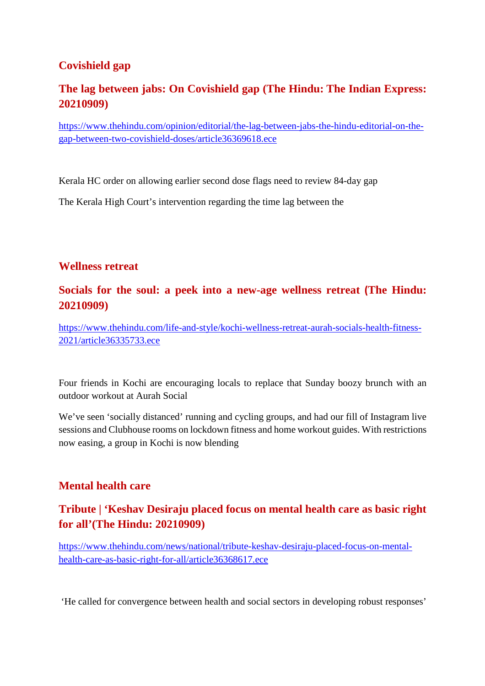#### **Covishield gap**

#### **The lag between jabs: On Covishield gap (The Hindu: The Indian Express: 20210909)**

https://www.thehindu.com/opinion/editorial/the-lag-between-jabs-the-hindu-editorial-on-thegap-between-two-covishield-doses/article36369618.ece

Kerala HC order on allowing earlier second dose flags need to review 84-day gap

The Kerala High Court's intervention regarding the time lag between the

#### **Wellness retreat**

#### **Socials for the soul: a peek into a new-age wellness retreat (The Hindu: 20210909)**

https://www.thehindu.com/life-and-style/kochi-wellness-retreat-aurah-socials-health-fitness-2021/article36335733.ece

Four friends in Kochi are encouraging locals to replace that Sunday boozy brunch with an outdoor workout at Aurah Social

We've seen 'socially distanced' running and cycling groups, and had our fill of Instagram live sessions and Clubhouse rooms on lockdown fitness and home workout guides. With restrictions now easing, a group in Kochi is now blending

#### **Mental health care**

#### **Tribute | 'Keshav Desiraju placed focus on mental health care as basic right for all'(The Hindu: 20210909)**

https://www.thehindu.com/news/national/tribute-keshav-desiraju-placed-focus-on-mentalhealth-care-as-basic-right-for-all/article36368617.ece

'He called for convergence between health and social sectors in developing robust responses'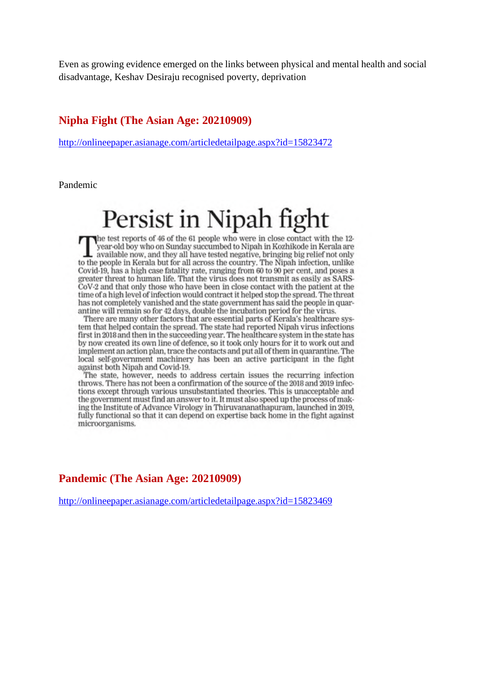Even as growing evidence emerged on the links between physical and mental health and social disadvantage, Keshav Desiraju recognised poverty, deprivation

#### **Nipha Fight (The Asian Age: 20210909)**

http://onlineepaper.asianage.com/articledetailpage.aspx?id=15823472

Pandemic

# Persist in Nipah fight

the test reports of 46 of the 61 people who were in close contact with the 12vear-old boy who on Sunday succumbed to Nipah in Kozhikode in Kerala are available now, and they all have tested negative, bringing big relief not only to the people in Kerala but for all across the country. The Nipah infection, unlike Covid-19, has a high case fatality rate, ranging from 60 to 90 per cent, and poses a greater threat to human life. That the virus does not transmit as easily as SARS-CoV-2 and that only those who have been in close contact with the patient at the time of a high level of infection would contract it helped stop the spread. The threat has not completely vanished and the state government has said the people in quarantine will remain so for 42 days, double the incubation period for the virus.

There are many other factors that are essential parts of Kerala's healthcare system that helped contain the spread. The state had reported Nipah virus infections first in 2018 and then in the succeeding year. The healthcare system in the state has by now created its own line of defence, so it took only hours for it to work out and implement an action plan, trace the contacts and put all of them in quarantine. The local self-government machinery has been an active participant in the fight against both Nipah and Covid-19.

The state, however, needs to address certain issues the recurring infection throws. There has not been a confirmation of the source of the 2018 and 2019 infections except through various unsubstantiated theories. This is unacceptable and the government must find an answer to it. It must also speed up the process of making the Institute of Advance Virology in Thiruvananathapuram, launched in 2019. fully functional so that it can depend on expertise back home in the fight against microorganisms.

#### **Pandemic (The Asian Age: 20210909)**

http://onlineepaper.asianage.com/articledetailpage.aspx?id=15823469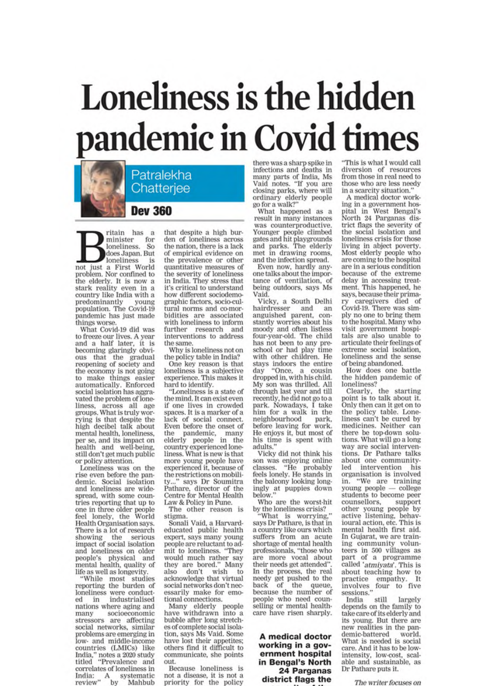# Loneliness is the hidden pandemic in Covid times

Patralekha Chatteriee

**Dev 360** 

ritain has a for minister loneliness. So does Japan. But loneliness is not just a First World problem. Nor confined to the elderly. It is now a stark reality even in a country like India with a predominantly young predominantly young pandemic has just made things worse.

What Covid-19 did was to freeze our lives. A year and a half later, it is<br>becoming glaringly obvious that the gradual<br>reopening of society and the economy is not going<br>to make things easier automatically. Enforced<br>social isolation has aggravated the problem of loneliness, across all age<br>groups. What is truly worrying is that despite the high decibel talk about mental health, loneliness, per se, and its impact on health and well-being, still don't get much public or policy attention.

Loneliness was on the rise even before the pandemic. Social isolation and loneliness are widespread, with some countries reporting that up to one in three older people<br>feel lonely, the World Health Organisation says. There is a lot of research showing the serious impact of social isolation and loneliness on older people's physical and<br>mental health, quality of life as well as longevity.

"While most studies reporting the burden of loneliness were conductindustrialised ed in nations where aging and socioeconomic many stressors are affecting social networks, similar problems are emerging in low- and middle-income countries (LMICs) like India," notes a 2020 study<br>titled "Prevalence and correlates of loneliness in India: A systematic<br>review" by Mahbub

that despite a high burden of loneliness across the nation, there is a lack of empirical evidence on the prevalence or other quantitative measures of the severity of loneliness in India. They stress that it's critical to understand how different sociodemographic factors, socio-cultural norms and co-morbidities are associated with loneliness to inform further research and interventions to address the same.

Why is loneliness not on the policy table in India?

One key reason is that loneliness is a subjective experience. This makes it hard to identify.

"Loneliness is a state of the mind. It can exist even if one lives in crowded spaces. It is a marker of a lack of social connect. Even before the onset of the pandemic, many<br>elderly people in the<br>country experienced loneliness. What is new is that more young people have experienced it, because of the restrictions on mobili-" says Dr Soumitra Pathare, director of the Centre for Mental Health Law & Policy in Pune.

The other reason is stigma

Sonali Vaid, a Harvardeducated public health expert, says many young people are reluctant to admit to loneliness. "They would much rather say they are bored." Many also don't wish to<br>acknowledge that virtual social networks don't necessarily make for emotional connections.

Many elderly people have withdrawn into a bubble after long stretches of complete social isolation, says Ms Vaid, Some have lost their appetites: others find it difficult to communicate, she points out.

Because loneliness is not a disease, it is not a priority for the policy

there was a sharp spike in<br>infections and deaths in<br>many parts of India, Ms<br>Vaid notes. "If you are<br>closing parks, where will ordinary elderly people go for a walk?"

What happened as a result in many instances was counterproductive. Younger people climbed<br>gates and hit playgrounds<br>and parks. The elderly met in drawing rooms, and the infection spread.

Even now, hardly anyone talks about the importance of ventilation, of being outdoors, says Ms Vaid.

Vicky, a South Delhi hairdresser and an anguished parent, constantly worries about his moody and often listless four-year-old. The child has not been to any preschool or had play time with other children. He stays indoors the entire day "Once, a cousin<br>dropped in, with his child. My son was thrilled. All through last year and till recently, he did not go to a<br>park. Nowadays, I take<br>him for a walk in the neighbourhood park. before leaving for work.<br>He enjoys it, but most of his time is spent with adults."

Vicky did not think his son was enjoying online<br>classes. "He probably<br>feels lonely. He stands in the balcony looking longingly at puppies down<br>below."

Who are the worst-hit by the loneliness crisis?<br>"What is worrying,"

says Dr Pathare, is that in a country like ours which suffers from an acute shortage of mental health professionals, "those who are more vocal about their needs get attended" In the process, the real needy get pushed to the back of the queue,<br>because the number of people who need counselling or mental healthcare have risen sharply.

A medical doctor working in a government hospital in Bengal's North 24 Parganas district flags the

"This is what I would call diversion of resources<br>from those in real need to those who are less needy in a scarcity situation."

A medical doctor working in a government hospital in West Bengal's<br>North 24 Parganas district flags the severity of the social isolation and loneliness crisis for those living in abject poverty. Most elderly people who are coming to the hospital are in a serious condition because of the extreme delay in accessing treat-<br>ment. This happened, he says, because their primacaregivers died of Covid-19. There was simply no one to bring them to the hospital. Many who visit government hospitals are also unable to articulate their feelings of extreme social isolation, loneliness and the sense

of being abandoned.<br>How does one battle the hidden pandemic of loneliness?

Clearly, the starting point is to talk about it. Only then can it get on to the policy table. Lone-<br>liness can't be cured by medicines. Neither can there be top-down solutions. What will go a long way are social interventions. Dr Pathare talks<br>about one communityintervention led his organisation is involved in. "We are training<br>young people — college students to become peer counsellors, support other young people by<br>active listening, behavioural action, etc. This is mental health first aid. In Gujarat, we are training community volunteers in 500 villages as part of a programme called 'atmiyata'. This is about teaching how to practice empathy. It<br>involves four to five<br>sessions."

still India largely depends on the family to take care of its elderly and its young. But there are new realities in the pandemic-battered world. What is needed is social care. And it has to be lowintensity, low-cost, scal-<br>able and sustainable, as Dr Pathare puts it.

The writer focuses on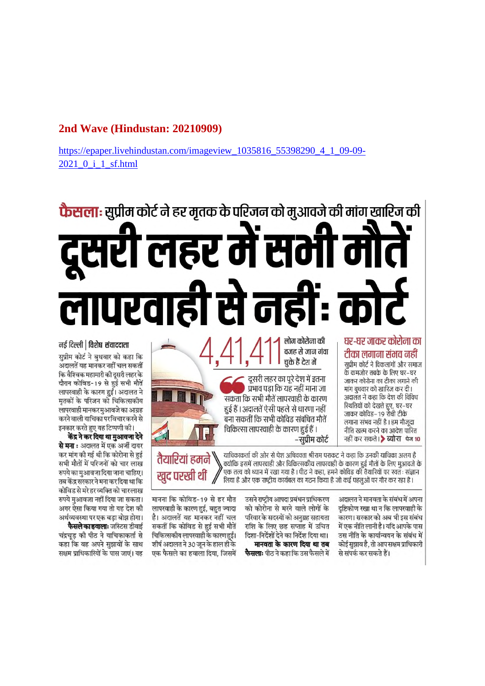#### **2nd Wave (Hindustan: 20210909)**

https://epaper.livehindustan.com/imageview\_1035816\_55398290\_4\_1\_09-09- 2021\_0\_i\_1\_sf.html

# **फैसला:** सुप्रीम कोर्ट ने हर मृतक के परिजन को मुआवजे की मांग खारिज की लहर में स लापरवाही से नहीं r: d

#### घर-घर जाकर कोरोना का टीका लगाना संभव नहीं

सुप्रीम कोर्ट ने विकलांगों और समाज के कमजोर तबके के लिए घर–घर जाकर कोरोना का टीका लगाने की मांग बघवार को खारिज कर दी। अदालत ने कहा कि देश की विविध स्थितियों को देखते हुए, घर–घर जाकर कोविड–19 रोधी टीके लगाना संभव नहीं है। हम मौजूदा नीति खत्म करने का आदेश पारित नहीं कर सकते। > ब्योरा पेज 10

वजह से जान गंवा चके हैं देश में दूसरी लहर का पूरे देश में इतना प्रभाव पडा कि यह नहीं माना जा सकता कि सभी मौतें लापरवाही के कारण हुई हैं। अदालतें ऐसी पहले से धारणा नहीं



याचिकाकर्ता की ओर से पेश अधिवक्ता श्रीराम पराकट ने कहा कि उनकी याचिका अलग है तैयारियां हमने , क्योंकि इसमें लापरवाही और चिकित्सकीय लापरवाही के कारण हुई मौतों के लिए मुआवजे के एक तत्व को ध्यान में रखा गया है । पीठ ने कहा, हमने कोविड की तैयारियों पर स्वतः संज्ञान खद परखी थीं लिया है और एक राष्ट्रीय कार्यबल का गठन किया है जो कई पहलुओं पर गौर कर रहा है।

–सप्रीम कोर्ट

लोग कोरोना की

अदालत ने मानवता के संबंध में अपना दष्टिकोण रखा था न कि लापरवाही के .<br>कारण। सरकार को अब भी इस संबंध में एक नीति लानी है। यदि आपके पास उस नीति के कार्यान्वयन के संबंध में कोई सुझाव है, तो आप सक्षम प्राधिकारी से संपर्क कर सकते हैं।

उसने राष्टीय आपदा प्रबंधन प्राधिकरण को कोरोना से मरने वाले लोगों के परिवार के सदस्यों को अनग्रह सहायता राशि के लिए छह सप्ताह में उचित दिशा-निर्देशों देने का निर्देश दिया था। मानवता के कारण दिया था तब **फैसलाः** पीठ ने कहा कि उस फैसले में

मानना कि कोविड-19 से हर मौत लापरवाही के कारण हुई, बहुत ज्यादा है। अदालतें यह मानकर नहीं चल सकतीं कि कोविड से हुई सभी मौतें चिकित्सकीय लापरवाही के कारण हुईं। शीर्ष अदालत ने 30 जून के हाल ही के एक फैसले का हवाला दिया. जिसमें

#### नई दिल्ली | विशेष संवाददाता

सुप्रीम कोर्ट ने बुधवार को कहा कि अदालतें यह मानकर नहीं चल सकतीं कि वैश्विक महामारी की दूसरी लहर के दौरान कोविड-19 से हुई सभी मौतें लापरवाही के कारण हुईं। अदालत ने मतकों के परिजन को चिकित्सकीय लापरवाही मानकर मुआवजे का आग्रह करने वाली याचिका परविचारकरने से

इनकार करते हुए यह टिप्पणी की। केंद्र ने कर दिया था मुआवजा देने से मना : अदालत में एक अर्जी दायर कर मांग की गई थी कि कोरोना से हुई सभी मौतों में परिजनों को चार लाख रुपये का मुआवजा दिया जाना चाहिए। तब केंद्र सरकार ने मना कर दिया था कि कोविड से मरे हर व्यक्ति को चारलाख रुपये मुआवजा नहीं दिया जा सकता। अगर ऐसा किया गया तो यह देश की अर्थव्यवस्था पर एक बड़ा बोझ होगा।

**फैसले का हवालाः** जस्टिस डीवाई चंद्रचड की पीठ ने याचिकाकर्ता से कहा कि वह अपने सुझावों के साथ सक्षम प्राधिकारियों के पास जाएं। यह